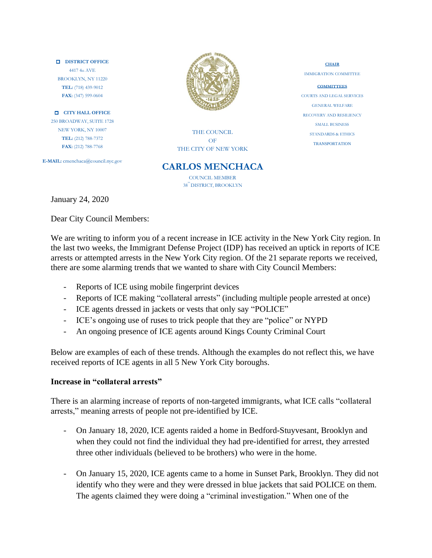#### **DISTRICT OFFICE** 4417 4th AVE BROOKLYN, NY 11220 **TEL:** (718) 439-9012 **FAX:** (347) 599-0604

**CITY HALL OFFICE** 250 BROADWAY, SUITE 1728 NEW YORK, NY 10007 **TEL:** (212) 788-7372 **FAX:** (212) 788-7768

**E-MAIL:** cmenchaca@council.nyc.gov



THE COUNCIL OF THE CITY OF NEW YORK

## **CARLOS MENCHACA**

COUNCIL MEMBER 38™ DISTRICT, BROOKLYN

January 24, 2020

Dear City Council Members:

We are writing to inform you of a recent increase in ICE activity in the New York City region. In the last two weeks, the Immigrant Defense Project (IDP) has received an uptick in reports of ICE arrests or attempted arrests in the New York City region. Of the 21 separate reports we received, there are some alarming trends that we wanted to share with City Council Members:

- Reports of ICE using mobile fingerprint devices
- Reports of ICE making "collateral arrests" (including multiple people arrested at once)
- ICE agents dressed in jackets or vests that only say "POLICE"
- ICE's ongoing use of ruses to trick people that they are "police" or NYPD
- An ongoing presence of ICE agents around Kings County Criminal Court

Below are examples of each of these trends. Although the examples do not reflect this, we have received reports of ICE agents in all 5 New York City boroughs.

### **Increase in "collateral arrests"**

There is an alarming increase of reports of non-targeted immigrants, what ICE calls "collateral arrests," meaning arrests of people not pre-identified by ICE.

- On January 18, 2020, ICE agents raided a home in Bedford-Stuyvesant, Brooklyn and when they could not find the individual they had pre-identified for arrest, they arrested three other individuals (believed to be brothers) who were in the home.
- On January 15, 2020, ICE agents came to a home in Sunset Park, Brooklyn. They did not identify who they were and they were dressed in blue jackets that said POLICE on them. The agents claimed they were doing a "criminal investigation." When one of the

**CHAIR** IMMIGRATION COMMITTEE

**COMMITTEES** COURTS AND LEGAL SERVICES GENERAL WELFARE RECOVERY AND RESILIENCY SMALL BUSINESS STANDARDS & ETHICS TRANSPORTATION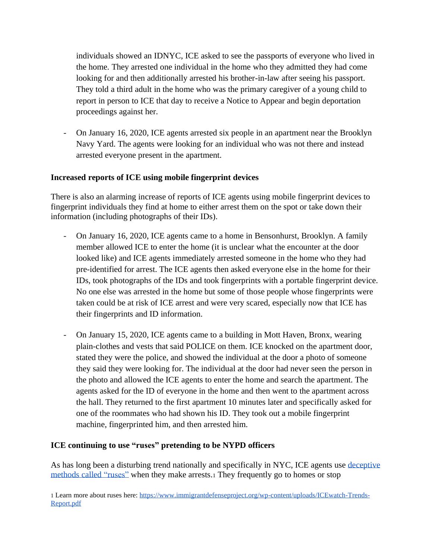individuals showed an IDNYC, ICE asked to see the passports of everyone who lived in the home. They arrested one individual in the home who they admitted they had come looking for and then additionally arrested his brother-in-law after seeing his passport. They told a third adult in the home who was the primary caregiver of a young child to report in person to ICE that day to receive a Notice to Appear and begin deportation proceedings against her.

- On January 16, 2020, ICE agents arrested six people in an apartment near the Brooklyn Navy Yard. The agents were looking for an individual who was not there and instead arrested everyone present in the apartment.

## **Increased reports of ICE using mobile fingerprint devices**

There is also an alarming increase of reports of ICE agents using mobile fingerprint devices to fingerprint individuals they find at home to either arrest them on the spot or take down their information (including photographs of their IDs).

- On January 16, 2020, ICE agents came to a home in Bensonhurst, Brooklyn. A family member allowed ICE to enter the home (it is unclear what the encounter at the door looked like) and ICE agents immediately arrested someone in the home who they had pre-identified for arrest. The ICE agents then asked everyone else in the home for their IDs, took photographs of the IDs and took fingerprints with a portable fingerprint device. No one else was arrested in the home but some of those people whose fingerprints were taken could be at risk of ICE arrest and were very scared, especially now that ICE has their fingerprints and ID information.
- On January 15, 2020, ICE agents came to a building in Mott Haven, Bronx, wearing plain-clothes and vests that said POLICE on them. ICE knocked on the apartment door, stated they were the police, and showed the individual at the door a photo of someone they said they were looking for. The individual at the door had never seen the person in the photo and allowed the ICE agents to enter the home and search the apartment. The agents asked for the ID of everyone in the home and then went to the apartment across the hall. They returned to the first apartment 10 minutes later and specifically asked for one of the roommates who had shown his ID. They took out a mobile fingerprint machine, fingerprinted him, and then arrested him.

### **ICE continuing to use "ruses" pretending to be NYPD officers**

As has long been a disturbing trend nationally and specifically in NYC, ICE agents use [deceptive](https://www.immigrantdefenseproject.org/wp-content/uploads/ICEwatch-Trends-Report.pdf) [methods](https://www.immigrantdefenseproject.org/wp-content/uploads/ICEwatch-Trends-Report.pdf) called "ruses" when they make arrests.<sup>1</sup> They frequently go to homes or stop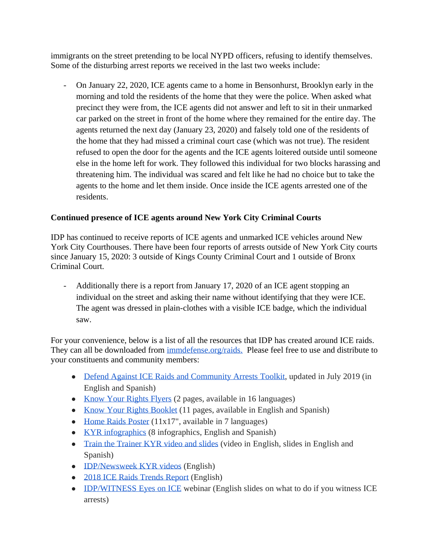immigrants on the street pretending to be local NYPD officers, refusing to identify themselves. Some of the disturbing arrest reports we received in the last two weeks include:

- On January 22, 2020, ICE agents came to a home in Bensonhurst, Brooklyn early in the morning and told the residents of the home that they were the police. When asked what precinct they were from, the ICE agents did not answer and left to sit in their unmarked car parked on the street in front of the home where they remained for the entire day. The agents returned the next day (January 23, 2020) and falsely told one of the residents of the home that they had missed a criminal court case (which was not true). The resident refused to open the door for the agents and the ICE agents loitered outside until someone else in the home left for work. They followed this individual for two blocks harassing and threatening him. The individual was scared and felt like he had no choice but to take the agents to the home and let them inside. Once inside the ICE agents arrested one of the residents.

# **Continued presence of ICE agents around New York City Criminal Courts**

IDP has continued to receive reports of ICE agents and unmarked ICE vehicles around New York City Courthouses. There have been four reports of arrests outside of New York City courts since January 15, 2020: 3 outside of Kings County Criminal Court and 1 outside of Bronx Criminal Court.

- Additionally there is a report from January 17, 2020 of an ICE agent stopping an individual on the street and asking their name without identifying that they were ICE. The agent was dressed in plain-clothes with a visible ICE badge, which the individual saw.

For your convenience, below is a list of all the resources that IDP has created around ICE raids. They can all be downloaded from [immdefense.org/raids.](http://immdefense.org/raids) Please feel free to use and distribute to your constituents and community members:

- Defend Against ICE Raids and [Community](https://www.immigrantdefenseproject.org/raids-toolkit/?utm_source=IDP+NEWSLETTER&utm_campaign=bcf089e89a-EMAIL_CAMPAIGN_2019_07_12_03_48&utm_medium=email&utm_term=0_edbeb94e67-bcf089e89a-) Arrests Toolkit, updated in July 2019 (in English and Spanish)
- Know Your [Rights](http://immdefense.org/kyr) Flyers (2 pages, available in 16 languages)
- Know Your Rights [Booklet](http://immdefense.org/kyr) (11 pages, available in English and Spanish)
- Home Raids [Poster](http://immdefense.org/kyr) (11x17", available in 7 languages)
- KYR [infographics](http://immdefense.org/infographics) (8 infographics, English and Spanish)
- Train the [Trainer](https://www.immigrantdefenseproject.org/ttt-materials/) KYR video and slides (video in English, slides in English and Spanish)
- [IDP/Newsweek](http://immdefense.org/kyr) KYR videos (English)
- 2018 ICE Raids [Trends](https://www.immigrantdefenseproject.org/icewatch/) Report (English)
- **[IDP/WITNESS](https://www.immigrantdefenseproject.org/eyes-on-ice-materials/)** Eyes on ICE webinar (English slides on what to do if you witness ICE arrests)